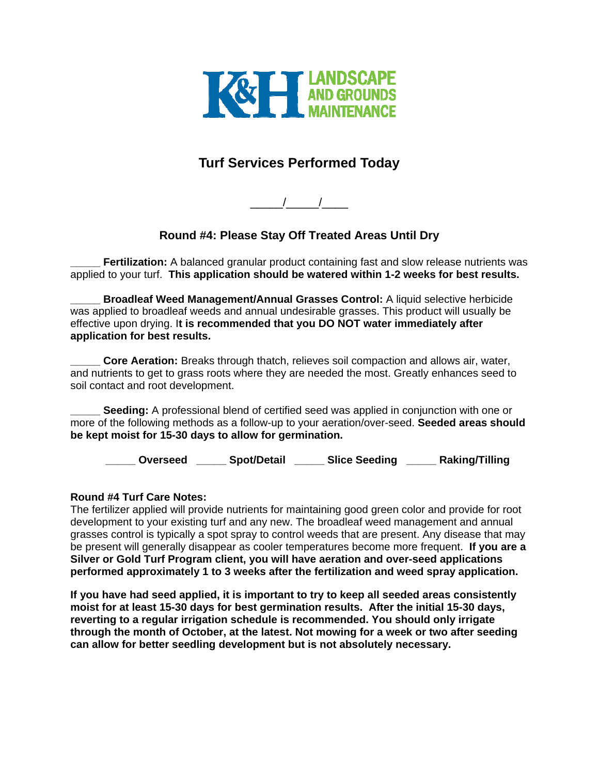

## **Turf Services Performed Today**

 $\frac{1}{2}$   $\frac{1}{2}$   $\frac{1}{2}$   $\frac{1}{2}$   $\frac{1}{2}$   $\frac{1}{2}$   $\frac{1}{2}$   $\frac{1}{2}$   $\frac{1}{2}$   $\frac{1}{2}$   $\frac{1}{2}$   $\frac{1}{2}$   $\frac{1}{2}$   $\frac{1}{2}$   $\frac{1}{2}$   $\frac{1}{2}$   $\frac{1}{2}$   $\frac{1}{2}$   $\frac{1}{2}$   $\frac{1}{2}$   $\frac{1}{2}$   $\frac{1}{2}$ 

## **Round #4: Please Stay Off Treated Areas Until Dry**

**Fertilization:** A balanced granular product containing fast and slow release nutrients was applied to your turf. **This application should be watered within 1-2 weeks for best results.** 

**\_\_\_\_\_ Broadleaf Weed Management/Annual Grasses Control:** A liquid selective herbicide was applied to broadleaf weeds and annual undesirable grasses. This product will usually be effective upon drying. I**t is recommended that you DO NOT water immediately after application for best results.** 

**Core Aeration:** Breaks through thatch, relieves soil compaction and allows air, water, and nutrients to get to grass roots where they are needed the most. Greatly enhances seed to soil contact and root development.

**Seeding:** A professional blend of certified seed was applied in conjunction with one or more of the following methods as a follow-up to your aeration/over-seed. **Seeded areas should be kept moist for 15-30 days to allow for germination.** 

**\_\_\_\_\_ Overseed \_\_\_\_\_ Spot/Detail \_\_\_\_\_ Slice Seeding \_\_\_\_\_ Raking/Tilling** 

## **Round #4 Turf Care Notes:**

The fertilizer applied will provide nutrients for maintaining good green color and provide for root development to your existing turf and any new. The broadleaf weed management and annual grasses control is typically a spot spray to control weeds that are present. Any disease that may be present will generally disappear as cooler temperatures become more frequent. **If you are a Silver or Gold Turf Program client, you will have aeration and over-seed applications performed approximately 1 to 3 weeks after the fertilization and weed spray application.** 

**If you have had seed applied, it is important to try to keep all seeded areas consistently moist for at least 15-30 days for best germination results. After the initial 15-30 days, reverting to a regular irrigation schedule is recommended. You should only irrigate through the month of October, at the latest. Not mowing for a week or two after seeding can allow for better seedling development but is not absolutely necessary.**